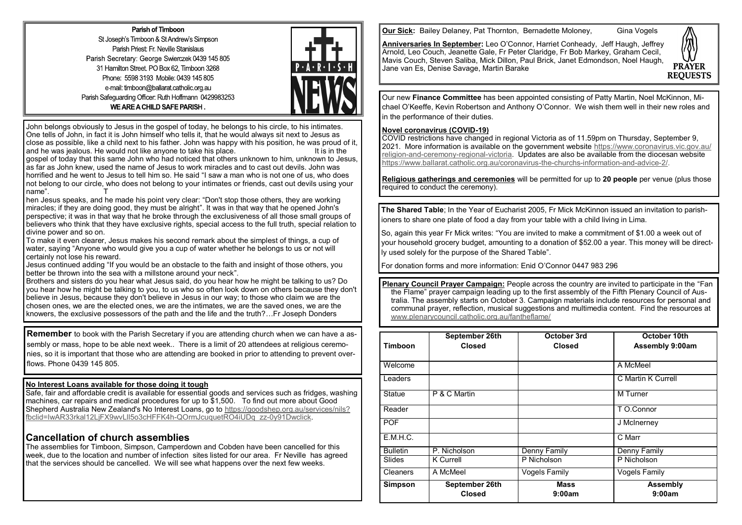**Anniversaries In September:** Leo O'Connor, Harriet Conheady, Jeff Haugh, Jeffrey Arnold, Leo Couch, Jeanette Gale, Fr Peter Claridge, Fr Bob Markey, Graham Cecil, Mavis Couch, Steven Saliba, Mick Dillon, Paul Brick, Janet Edmondson, Noel Haugh, Jane van Es, Denise Savage, Martin Barake

| Timboon         | September 26th<br><b>Closed</b> | <b>October 3rd</b><br><b>Closed</b> | October 10th<br><b>Assembly 9:00am</b> |
|-----------------|---------------------------------|-------------------------------------|----------------------------------------|
| Welcome         |                                 |                                     | A McMeel                               |
| Leaders         |                                 |                                     | <b>C Martin K Currell</b>              |
| <b>Statue</b>   | P & C Martin                    |                                     | <b>M</b> Turner                        |
| Reader          |                                 |                                     | T O.Connor                             |
| <b>POF</b>      |                                 |                                     | J McInerney                            |
| E.M.H.C.        |                                 |                                     | C Marr                                 |
| <b>Bulletin</b> | P. Nicholson                    | Denny Family                        | Denny Family                           |
| <b>Slides</b>   | <b>K</b> Currell                | P Nicholson                         | P Nicholson                            |
| <b>Cleaners</b> | A McMeel                        | <b>Vogels Family</b>                | <b>Vogels Family</b>                   |
| <b>Simpson</b>  | September 26th<br><b>Closed</b> | <b>Mass</b><br>9:00am               | <b>Assembly</b><br>9:00am              |



### **No Interest Loans available for those doing it tough**

Safe, fair and affordable credit is available for essential goods and services such as fridges, washing machines, car repairs and medical procedures for up to \$1,500. To find out more about Good Shepherd Australia New Zealand's No Interest Loans, go to [https://goodshep.org.au/services/nils?](https://goodshep.org.au/services/nils?fbclid=IwAR33rkal12LjFX9wvLll5o3cHFFK4h-QOrmJcuquetRO4iUDq_zz-0y91Dwclick) [fbclid=IwAR33rkal12LjFX9wvLll5o3cHFFK4h](https://goodshep.org.au/services/nils?fbclid=IwAR33rkal12LjFX9wvLll5o3cHFFK4h-QOrmJcuquetRO4iUDq_zz-0y91Dwclick)-QOrmJcuquetRO4iUDq\_zz-0y91Dwclick.

## **Cancellation of church assemblies**

The assemblies for Timboon, Simpson, Camperdown and Cobden have been cancelled for this week, due to the location and number of infection sites listed for our area. Fr Neville has agreed that the services should be cancelled. We will see what happens over the next few weeks.

**Our Sick:** Bailey Delaney, Pat Thornton, Bernadette Moloney, Gina Vogels

Parish of Timboon St Joseph's Timboon & St Andrew's Simpson Parish Priest: Fr. Neville Stanislaus Parish Secretary: George Swierczek 0439 145 805 31 Hamilton Street, PO Box 62, Timboon 3268 Phone: 5598 3193 Mobile: 0439 145 805 e-mail: timboon@ballarat.catholic.org.au Parish Safeguarding Officer: Ruth Hoffmann 0429983253 WE ARE A CHILD SAFE PARISH.



John belongs obviously to Jesus in the gospel of today, he belongs to his circle, to his intimates. One tells of John, in fact it is John himself who tells it, that he would always sit next to Jesus as close as possible, like a child next to his father. John was happy with his position, he was proud of it, and he was jealous. He would not like anyone to take his place. It is in the let is in the gospel of today that this same John who had noticed that others unknown to him, unknown to Jesus, as far as John knew, used the name of Jesus to work miracles and to cast out devils. John was horrified and he went to Jesus to tell him so. He said "I saw a man who is not one of us, who does not belong to our circle, who does not belong to your intimates or friends, cast out devils using your name".

> **Plenary Council Prayer Campaign:** People across the country are invited to participate in the "Fan the Flame" prayer campaign leading up to the first assembly of the Fifth Plenary Council of Australia. The assembly starts on October 3. Campaign materials include resources for personal and communal prayer, reflection, musical suggestions and multimedia content. Find the resources at [www.plenarycouncil.catholic.org.au/fantheflame/](http://www.plenarycouncil.catholic.org.au/fantheflame/)

**The Shared Table**; In the Year of Eucharist 2005, Fr Mick McKinnon issued an invitation to parishioners to share one plate of food a day from your table with a child living in Lima.

So, again this year Fr Mick writes: "You are invited to make a commitment of \$1.00 a week out of your household grocery budget, amounting to a donation of \$52.00 a year. This money will be directly used solely for the purpose of the Shared Table".

For donation forms and more information: Enid O'Connor 0447 983 296

**Remember** to book with the Parish Secretary if you are attending church when we can have a assembly or mass, hope to be able next week.. There is a limit of 20 attendees at religious ceremonies, so it is important that those who are attending are booked in prior to attending to prevent overflows. Phone 0439 145 805.

hen Jesus speaks, and he made his point very clear: "Don't stop those others, they are working miracles; if they are doing good, they must be alright". It was in that way that he opened John's perspective; it was in that way that he broke through the exclusiveness of all those small groups of believers who think that they have exclusive rights, special access to the full truth, special relation to divine power and so on.

To make it even clearer, Jesus makes his second remark about the simplest of things, a cup of water, saying "Anyone who would give you a cup of water whether he belongs to us or not will certainly not lose his reward.

Jesus continued adding "If you would be an obstacle to the faith and insight of those others, you better be thrown into the sea with a millstone around your neck".

Brothers and sisters do you hear what Jesus said, do you hear how he might be talking to us? Do you hear how he might be talking to you, to us who so often look down on others because they don't believe in Jesus, because they don't believe in Jesus in our way; to those who claim we are the chosen ones, we are the elected ones, we are the intimates, we are the saved ones, we are the knowers, the exclusive possessors of the path and the life and the truth?…Fr Joseph Donders

Our new **Finance Committee** has been appointed consisting of Patty Martin, Noel McKinnon, Michael O'Keeffe, Kevin Robertson and Anthony O'Connor. We wish them well in their new roles and in the performance of their duties.

#### **Novel coronavirus (COVID-19)**

COVID restrictions have changed in regional Victoria as of 11.59pm on Thursday, September 9, 2021. More information is available on the government website [https://www.coronavirus.vic.gov.au/](https://www.coronavirus.vic.gov.au/religion-and-ceremony-regional-victoria) religion-and-[ceremony](https://www.coronavirus.vic.gov.au/religion-and-ceremony-regional-victoria)-regional-victoria. Updates are also be available from the diocesan website [https://www.ballarat.catholic.org.au/coronavirus](https://www.ballarat.catholic.org.au/coronavirus-the-churchs-information-and-advice-2/)-the-churchs-information-and-advice-2/.

**Religious gatherings and ceremonies** will be permitted for up to **20 people** per venue (plus those required to conduct the ceremony).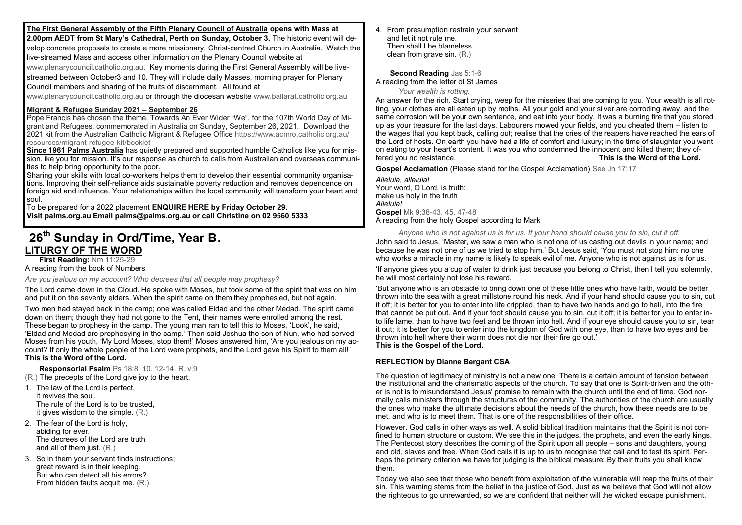# **26th Sunday in Ord/Time, Year B**. 1 **LITURGY OF THE WORD**

**First Reading:** Nm 11:25-29 A reading from the book of Numbers

*Are you jealous on my account? Who decrees that all people may prophesy?*

The Lord came down in the Cloud. He spoke with Moses, but took some of the spirit that was on him and put it on the seventy elders. When the spirit came on them they prophesied, but not again.

Two men had stayed back in the camp; one was called Eldad and the other Medad. The spirit came down on them; though they had not gone to the Tent, their names were enrolled among the rest. These began to prophesy in the camp. The young man ran to tell this to Moses, 'Look', he said, 'Eldad and Medad are prophesying in the camp.' Then said Joshua the son of Nun, who had served Moses from his youth, 'My Lord Moses, stop them!' Moses answered him, 'Are you jealous on my account? If only the whole people of the Lord were prophets, and the Lord gave his Spirit to them all!' **This is the Word of the Lord.**

**Responsorial Psalm** Ps 18:8. 10. 12-14. R. v.9 (R.) The precepts of the Lord give joy to the heart.

- 1. The law of the Lord is perfect, it revives the soul. The rule of the Lord is to be trusted, it gives wisdom to the simple. (R.)
- 2. The fear of the Lord is holy, abiding for ever. The decrees of the Lord are truth and all of them just. (R.)
- 3. So in them your servant finds instructions; great reward is in their keeping. But who can detect all his errors? From hidden faults acquit me. (R.)

4. From presumption restrain your servant and let it not rule me. Then shall I be blameless, clean from grave sin. (R.)

## **Second Reading** Jas 5:1-6

A reading from the letter of St James

*Your wealth is rotting.*

An answer for the rich. Start crying, weep for the miseries that are coming to you. Your wealth is all rotting, your clothes are all eaten up by moths. All your gold and your silver are corroding away, and the same corrosion will be your own sentence, and eat into your body. It was a burning fire that you stored up as your treasure for the last days. Labourers mowed your fields, and you cheated them – listen to the wages that you kept back, calling out; realise that the cries of the reapers have reached the ears of the Lord of hosts. On earth you have had a life of comfort and luxury; in the time of slaughter you went on eating to your heart's content. It was you who condemned the innocent and killed them; they offered you no resistance. **This is the Word of the Lord.** 

**Gospel Acclamation** (Please stand for the Gospel Acclamation) See Jn 17:17

*Alleluia, alleluia!*  Your word, O Lord, is truth: make us holy in the truth *Alleluia!* **Gospel** Mk 9:38-43. 45. 47-48 A reading from the holy Gospel according to Mark

*Anyone who is not against us is for us. If your hand should cause you to sin, cut it off.*

John said to Jesus, 'Master, we saw a man who is not one of us casting out devils in your name; and because he was not one of us we tried to stop him.' But Jesus said, 'You must not stop him: no one who works a miracle in my name is likely to speak evil of me. Anyone who is not against us is for us. 'If anyone gives you a cup of water to drink just because you belong to Christ, then I tell you solemnly,

he will most certainly not lose his reward.

'But anyone who is an obstacle to bring down one of these little ones who have faith, would be better thrown into the sea with a great millstone round his neck. And if your hand should cause you to sin, cut it off; it is better for you to enter into life crippled, than to have two hands and go to hell, into the fire that cannot be put out. And if your foot should cause you to sin, cut it off; it is better for you to enter into life lame, than to have two feet and be thrown into hell. And if your eye should cause you to sin, tear it out; it is better for you to enter into the kingdom of God with one eye, than to have two eyes and be thrown into hell where their worm does not die nor their fire go out.' **This is the Gospel of the Lord.** 

#### **REFLECTION by Dianne Bergant CSA**

The question of legitimacy of ministry is not a new one. There is a certain amount of tension between the institutional and the charismatic aspects of the church. To say that one is Spirit-driven and the other is not is to misunderstand Jesus' promise to remain with the church until the end of time. God normally calls ministers through the structures of the community. The authorities of the church are usually the ones who make the ultimate decisions about the needs of the church, how these needs are to be met, and who is to meet them. That is one of the responsibilities of their office.

However, God calls in other ways as well. A solid biblical tradition maintains that the Spirit is not confined to human structure or custom. We see this in the judges, the prophets, and even the early kings. The Pentecost story describes the coming of the Spirit upon all people – sons and daughters, young and old, slaves and free. When God calls it is up to us to recognise that call and to test its spirit. Perhaps the primary criterion we have for judging is the biblical measure: By their fruits you shall know them.

Today we also see that those who benefit from exploitation of the vulnerable will reap the fruits of their sin. This warning stems from the belief in the justice of God. Just as we believe that God will not allow the righteous to go unrewarded, so we are confident that neither will the wicked escape punishment.

### **The First General Assembly of the Fifth Plenary Council of Australia opens with Mass at**

**2.00pm AEDT from St Mary's Cathedral, Perth on Sunday, October 3.** The historic event will develop concrete proposals to create a more missionary, Christ-centred Church in Australia. Watch the live-streamed Mass and access other information on the Plenary Council website at

[www.plenarycouncil.catholic.org.au.](http://www.plenarycouncil.catholic.org.au) Key moments during the First General Assembly will be livestreamed between October3 and 10. They will include daily Masses, morning prayer for Plenary Council members and sharing of the fruits of discernment. All found at

[www.plenarycouncil.catholic.org.au](http://www.plenarycouncil.catholic.org.au) or through the diocesan website [www.ballarat.catholic.org.au](http://www.ballarat.catholic.org.au)

#### **Migrant & Refugee Sunday 2021 – September 26**

Pope Francis has chosen the theme, Towards An Ever Wider "We", for the 107th World Day of Migrant and Refugees, commemorated in Australia on Sunday, September 26, 2021. Download the 2021 kit from the Australian Catholic Migrant & Refugee Office [https://www.acmro.catholic.org.au/](https://www.acmro.catholic.org.au/resources/migrant-refugee-kit/booklet) [resources/migrant](https://www.acmro.catholic.org.au/resources/migrant-refugee-kit/booklet)-refugee-kit/booklet

**Since 1961 Palms Australia** has quietly prepared and supported humble Catholics like you for mission. ike you for mission. It's our response as church to calls from Australian and overseas communities to help bring opportunity to the poor.

Sharing your skills with local co-workers helps them to develop their essential community organisations. Improving their self-reliance aids sustainable poverty reduction and removes dependence on foreign aid and influence. Your relationships within the local community will transform your heart and soul.

To be prepared for a 2022 placement **ENQUIRE HERE by Friday October 29. Visit palms.org.au Email palms@palms.org.au or call Christine on 02 9560 5333**